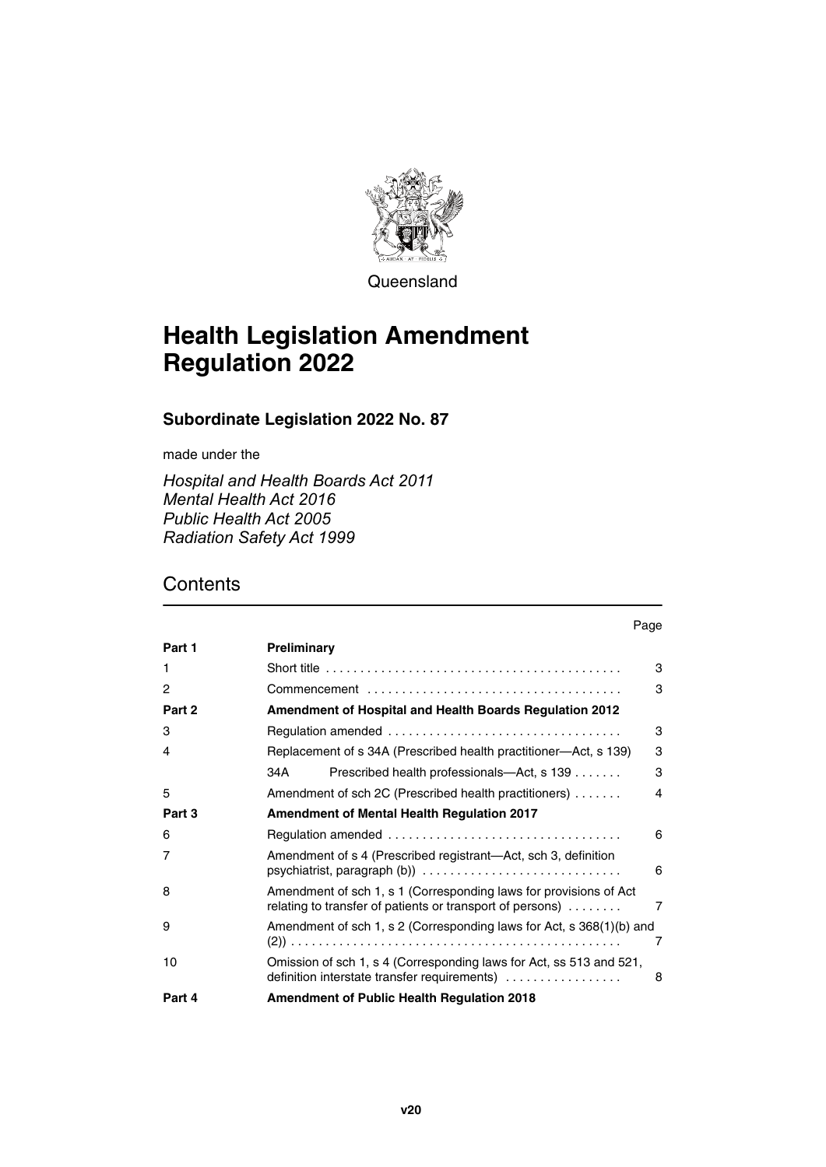

**Queensland** 

# **Health Legislation Amendment Regulation 2022**

# **Subordinate Legislation 2022 No. 87**

made under the

*Hospital and Health Boards Act 2011 Mental Health Act 2016 Public Health Act 2005 Radiation Safety Act 1999*

# **Contents**

| Part 1 | Preliminary                                                                                                                    |   |  |
|--------|--------------------------------------------------------------------------------------------------------------------------------|---|--|
| 1      |                                                                                                                                | 3 |  |
| 2      |                                                                                                                                | 3 |  |
| Part 2 | <b>Amendment of Hospital and Health Boards Regulation 2012</b>                                                                 |   |  |
| 3      |                                                                                                                                | 3 |  |
| 4      | 3<br>Replacement of s 34A (Prescribed health practitioner—Act, s 139)                                                          |   |  |
|        | 34 A<br>Prescribed health professionals—Act, s 139                                                                             | 3 |  |
| 5      | Amendment of sch 2C (Prescribed health practitioners)                                                                          | 4 |  |
| Part 3 | <b>Amendment of Mental Health Regulation 2017</b>                                                                              |   |  |
| 6      |                                                                                                                                | 6 |  |
| 7      | Amendment of s 4 (Prescribed registrant-Act, sch 3, definition                                                                 | 6 |  |
| 8      | Amendment of sch 1, s 1 (Corresponding laws for provisions of Act<br>relating to transfer of patients or transport of persons) | 7 |  |
| 9      | Amendment of sch 1, s 2 (Corresponding laws for Act, s 368(1)(b) and                                                           | 7 |  |
| 10     | Omission of sch 1, s 4 (Corresponding laws for Act, ss 513 and 521,<br>definition interstate transfer requirements)            | 8 |  |
| Part 4 | <b>Amendment of Public Health Regulation 2018</b>                                                                              |   |  |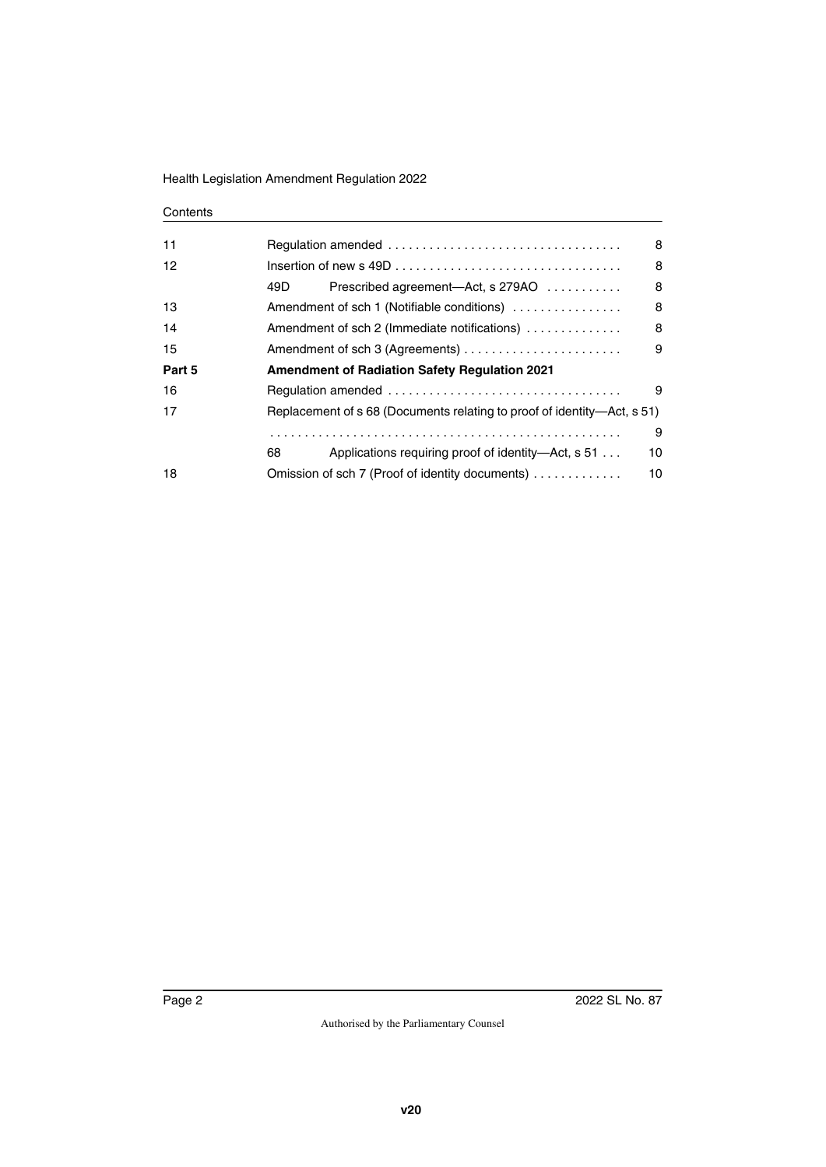### **Contents**

| 11     |                                                                         | 8  |  |
|--------|-------------------------------------------------------------------------|----|--|
| 12     |                                                                         | 8  |  |
|        | 49D.<br>Prescribed agreement—Act, s 279AO                               | 8  |  |
| 13     | Amendment of sch 1 (Notifiable conditions)                              | 8  |  |
| 14     | Amendment of sch 2 (Immediate notifications)                            | 8  |  |
| 15     | Amendment of sch 3 (Agreements)                                         | 9  |  |
| Part 5 | <b>Amendment of Radiation Safety Regulation 2021</b>                    |    |  |
| 16     |                                                                         | 9  |  |
| 17     | Replacement of s 68 (Documents relating to proof of identity—Act, s 51) |    |  |
|        |                                                                         | 9  |  |
|        | Applications requiring proof of identity—Act, s 51<br>68                | 10 |  |
| 18     | Omission of sch 7 (Proof of identity documents)                         | 10 |  |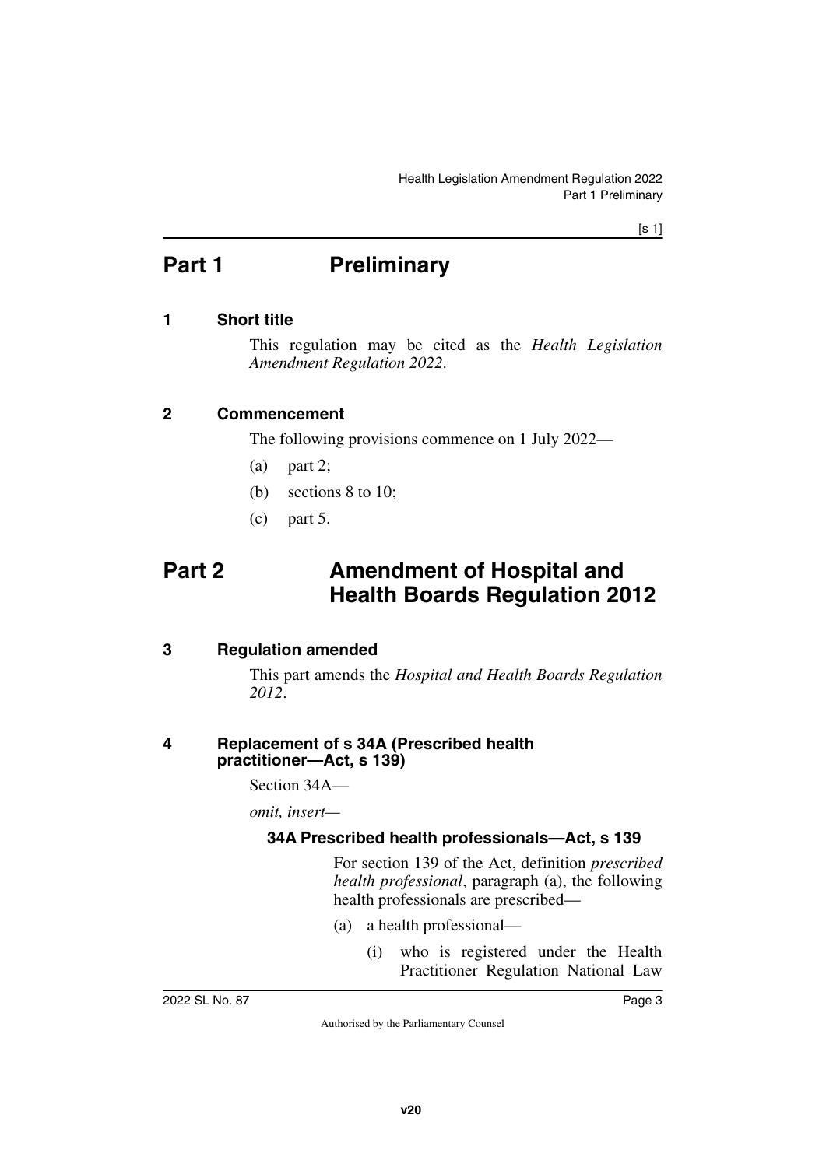# <span id="page-2-0"></span>**Part 1** Preliminary

# <span id="page-2-2"></span>**1 Short title**

<span id="page-2-3"></span><span id="page-2-1"></span>This regulation may be cited as the *Health Legislation Amendment Regulation 2022*.

# <span id="page-2-4"></span>**2 Commencement**

<span id="page-2-5"></span>The following provisions commence on 1 July 2022—

- (a) part 2;
- (b) sections 8 to 10;
- <span id="page-2-7"></span>(c) part 5.

# <span id="page-2-6"></span>**Part 2 Amendment of Hospital and Health Boards Regulation 2012**

## <span id="page-2-8"></span>**3 Regulation amended**

<span id="page-2-9"></span>This part amends the *Hospital and Health Boards Regulation 2012*.

## <span id="page-2-11"></span><span id="page-2-10"></span>**4 Replacement of s 34A (Prescribed health practitioner—Act, s 139)**

Section 34A—

*omit, insert—*

# <span id="page-2-13"></span><span id="page-2-12"></span>**34A Prescribed health professionals—Act, s 139**

For section 139 of the Act, definition *prescribed health professional*, paragraph (a), the following health professionals are prescribed—

- (a) a health professional—
	- (i) who is registered under the Health Practitioner Regulation National Law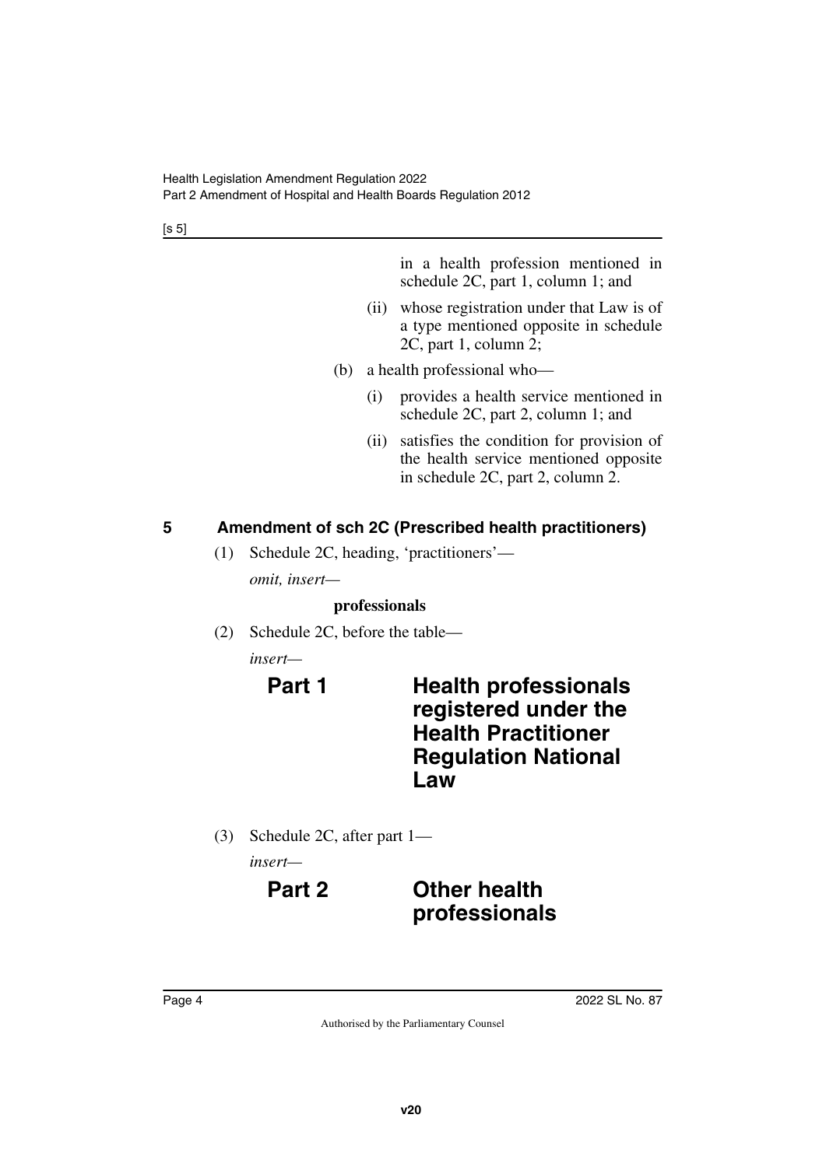[s 5]

in a health profession mentioned in schedule 2C, part 1, column 1; and

- (ii) whose registration under that Law is of a type mentioned opposite in schedule 2C, part 1, column 2;
- (b) a health professional who—
	- (i) provides a health service mentioned in schedule 2C, part 2, column 1; and
	- (ii) satisfies the condition for provision of the health service mentioned opposite in schedule 2C, part 2, column 2.

# <span id="page-3-0"></span>**5 Amendment of sch 2C (Prescribed health practitioners)**

<span id="page-3-1"></span>(1) Schedule 2C, heading, 'practitioners' *omit, insert—*

## **professionals**

(2) Schedule 2C, before the table—

*insert—*

# **Part 1 Health professionals registered under the Health Practitioner Regulation National Law**

(3) Schedule 2C, after part 1—

*insert—*

# **Part 2 Other health professionals**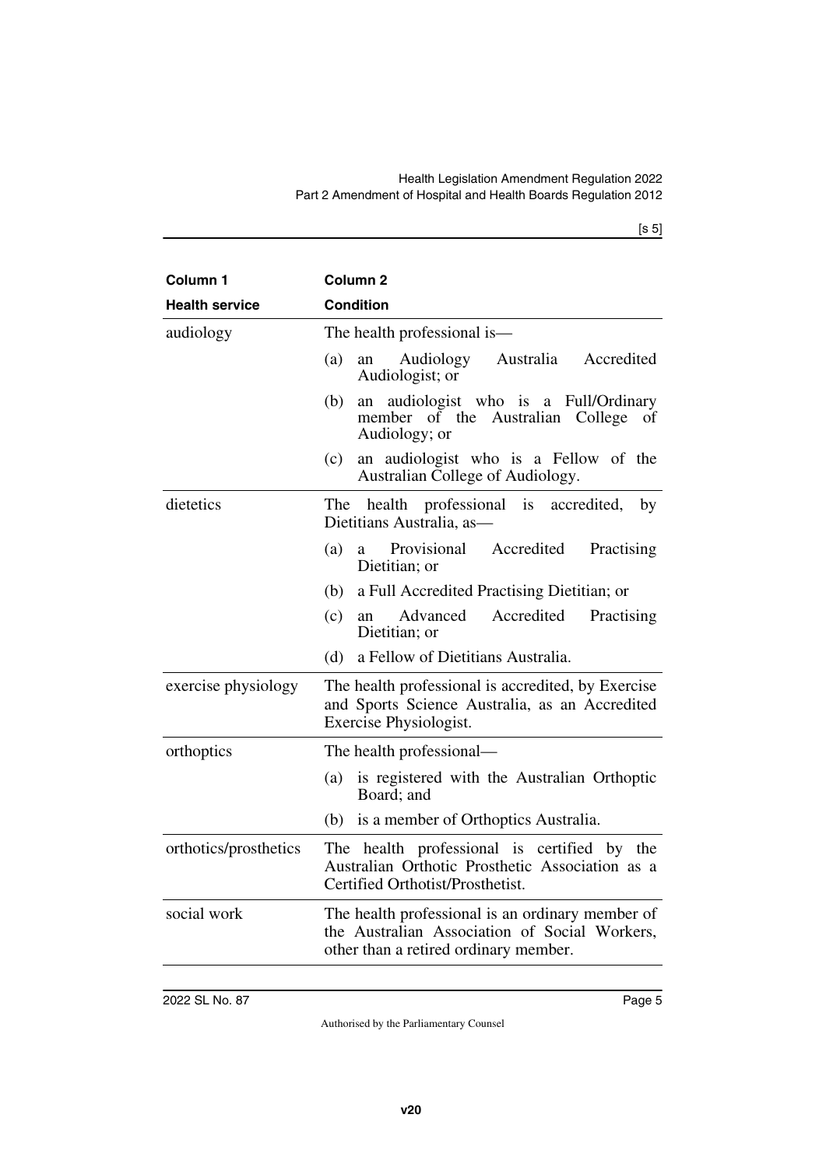[s 5]

| Column <sub>1</sub>   | Column <sub>2</sub>                                                                                                                        |
|-----------------------|--------------------------------------------------------------------------------------------------------------------------------------------|
| <b>Health service</b> | <b>Condition</b>                                                                                                                           |
| audiology             | The health professional is-                                                                                                                |
|                       | Australia Accredited<br>Audiology<br>(a)<br>an<br>Audiologist; or                                                                          |
|                       | audiologist who is a Full/Ordinary<br>(b)<br>an<br>member of the Australian College<br>οf<br>Audiology; or                                 |
|                       | (c)<br>an audiologist who is a Fellow of the<br>Australian College of Audiology.                                                           |
| dietetics             | The health professional<br>is<br>accredited,<br>by<br>Dietitians Australia, as-                                                            |
|                       | Provisional Accredited<br>Practising<br>(a)<br>a<br>Dietitian; or                                                                          |
|                       | a Full Accredited Practising Dietitian; or<br>(b)                                                                                          |
|                       | (c)<br>Advanced<br>Accredited<br>Practising<br>an<br>Dietitian; or                                                                         |
|                       | (d)<br>a Fellow of Dietitians Australia.                                                                                                   |
| exercise physiology   | The health professional is accredited, by Exercise<br>and Sports Science Australia, as an Accredited<br>Exercise Physiologist.             |
| orthoptics            | The health professional—                                                                                                                   |
|                       | is registered with the Australian Orthoptic<br>(a)<br>Board; and                                                                           |
|                       | (b) is a member of Orthoptics Australia.                                                                                                   |
| orthotics/prosthetics | The health professional is certified by the<br>Australian Orthotic Prosthetic Association as a<br>Certified Orthotist/Prosthetist.         |
| social work           | The health professional is an ordinary member of<br>the Australian Association of Social Workers,<br>other than a retired ordinary member. |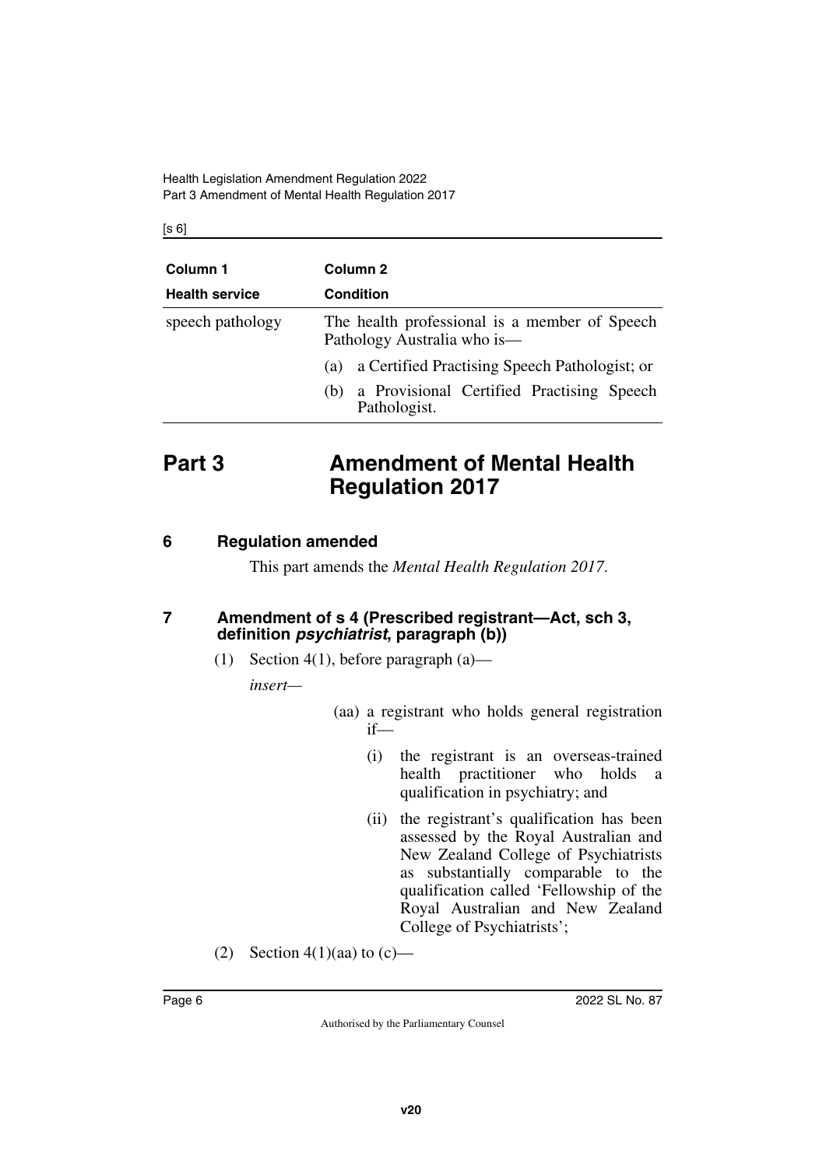$[s 6]$ 

| Column 1              | Column 2                                                                     |
|-----------------------|------------------------------------------------------------------------------|
| <b>Health service</b> | <b>Condition</b>                                                             |
| speech pathology      | The health professional is a member of Speech<br>Pathology Australia who is— |
|                       | a Certified Practising Speech Pathologist; or<br>(a)                         |
|                       | a Provisional Certified Practising Speech<br>(b)<br>Pathologist.             |

# <span id="page-5-0"></span>**Part 3 Amendment of Mental Health Regulation 2017**

# <span id="page-5-2"></span>**6 Regulation amended**

<span id="page-5-5"></span><span id="page-5-3"></span><span id="page-5-1"></span>This part amends the *Mental Health Regulation 2017*.

## <span id="page-5-4"></span>**7 Amendment of s 4 (Prescribed registrant—Act, sch 3, definition** *psychiatrist***, paragraph (b))**

(1) Section 4(1), before paragraph (a)—

*insert—*

- (aa) a registrant who holds general registration if—
	- (i) the registrant is an overseas-trained health practitioner who holds a qualification in psychiatry; and
	- (ii) the registrant's qualification has been assessed by the Royal Australian and New Zealand College of Psychiatrists as substantially comparable to the qualification called 'Fellowship of the Royal Australian and New Zealand College of Psychiatrists';
- (2) Section 4(1)(aa) to (c)—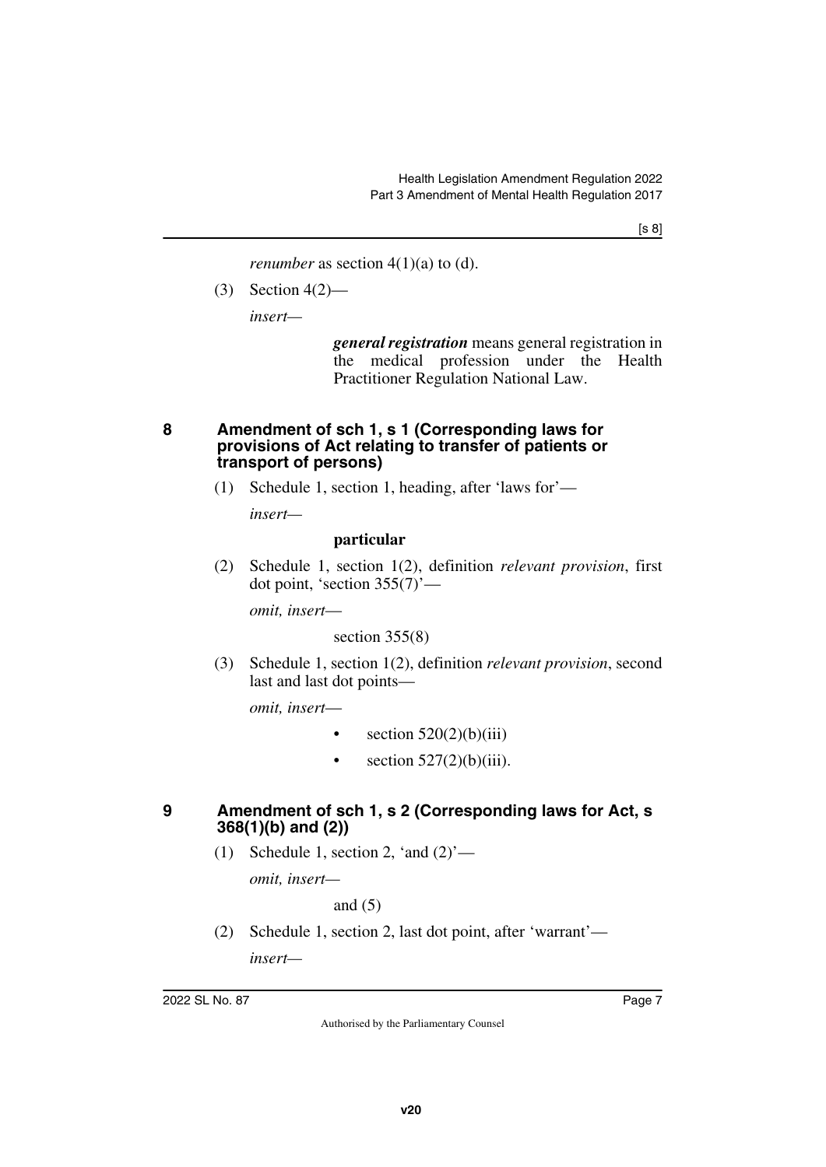*renumber* as section  $4(1)(a)$  to  $(d)$ .

(3) Section 4(2)—

*insert—*

*general registration* means general registration in the medical profession under the Health Practitioner Regulation National Law.

### <span id="page-6-1"></span><span id="page-6-0"></span>**8 Amendment of sch 1, s 1 (Corresponding laws for provisions of Act relating to transfer of patients or transport of persons)**

(1) Schedule 1, section 1, heading, after 'laws for'—

*insert—*

### **particular**

(2) Schedule 1, section 1(2), definition *relevant provision*, first dot point, 'section  $355(7)$ '—

*omit, insert*—

section  $355(8)$ 

(3) Schedule 1, section 1(2), definition *relevant provision*, second last and last dot points—

*omit, insert*—

- section  $520(2)(b)(iii)$
- section  $527(2)(b)(iii)$ .

## <span id="page-6-2"></span>**9 Amendment of sch 1, s 2 (Corresponding laws for Act, s 368(1)(b) and (2))**

<span id="page-6-3"></span>(1) Schedule 1, section 2, 'and  $(2)$ '—

*omit, insert—*

and (5)

(2) Schedule 1, section 2, last dot point, after 'warrant' *insert—*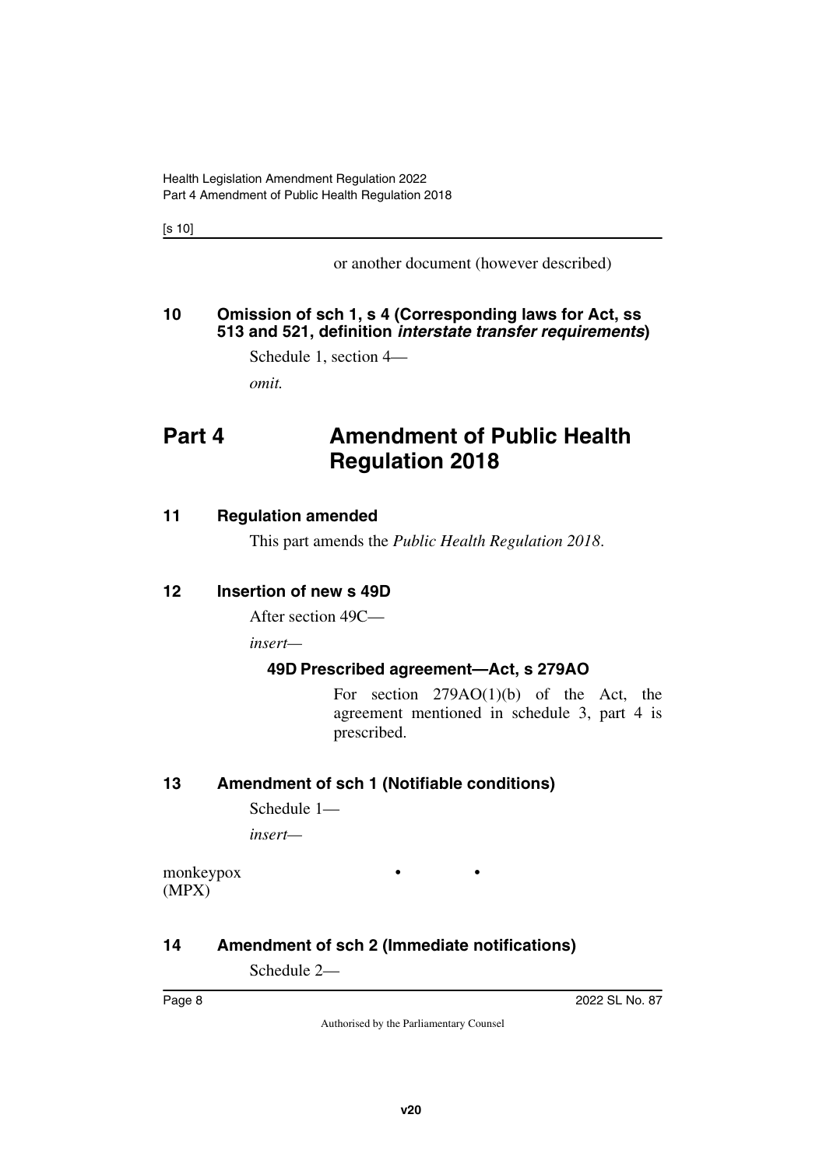[s 10]

or another document (however described)

# <span id="page-7-1"></span><span id="page-7-0"></span>**10 Omission of sch 1, s 4 (Corresponding laws for Act, ss 513 and 521, definition** *interstate transfer requirements***)**

Schedule 1, section 4—

<span id="page-7-3"></span>*omit.*

# <span id="page-7-2"></span>**Part 4 Amendment of Public Health Regulation 2018**

# <span id="page-7-4"></span>**11 Regulation amended**

<span id="page-7-7"></span><span id="page-7-5"></span>This part amends the *Public Health Regulation 2018*.

# <span id="page-7-6"></span>**12 Insertion of new s 49D**

After section 49C—

*insert—*

# <span id="page-7-9"></span><span id="page-7-8"></span>**49D Prescribed agreement—Act, s 279AO**

• •

For section 279AO(1)(b) of the Act, the agreement mentioned in schedule 3, part 4 is prescribed.

# <span id="page-7-10"></span>**13 Amendment of sch 1 (Notifiable conditions)**

<span id="page-7-11"></span>Schedule 1—

*insert—*

monkeypox (MPX)

# <span id="page-7-12"></span>**14 Amendment of sch 2 (Immediate notifications)**

<span id="page-7-13"></span>Schedule 2—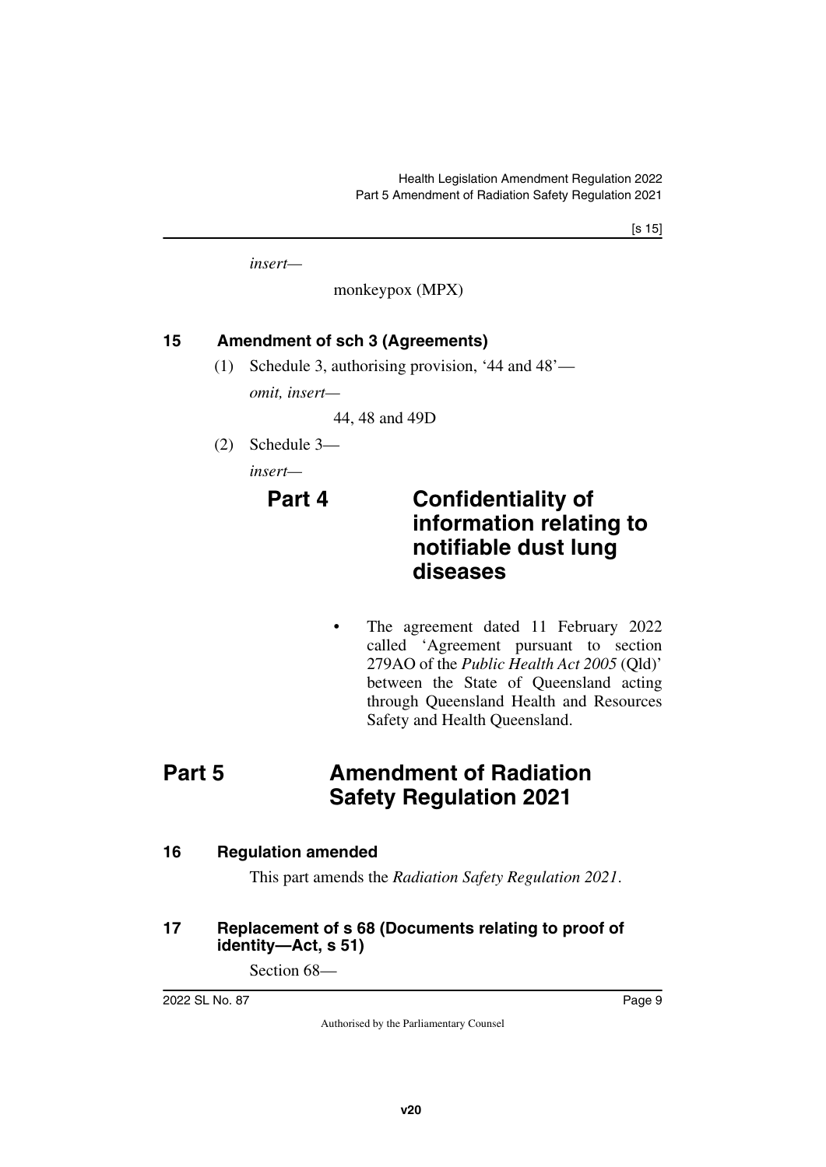*insert—*

monkeypox (MPX)

# <span id="page-8-0"></span>**15 Amendment of sch 3 (Agreements)**

<span id="page-8-1"></span>(1) Schedule 3, authorising provision, '44 and 48'—

*omit, insert—*

44, 48 and 49D

(2) Schedule 3—

*insert—*

# **Part 4 Confidentiality of information relating to notifiable dust lung diseases**

<span id="page-8-3"></span>The agreement dated 11 February 2022 called 'Agreement pursuant to section 279AO of the *Public Health Act 2005* (Qld)' between the State of Queensland acting through Queensland Health and Resources Safety and Health Queensland.

# <span id="page-8-2"></span>**Part 5** Amendment of Radiation **Safety Regulation 2021**

# <span id="page-8-4"></span>**16 Regulation amended**

<span id="page-8-7"></span><span id="page-8-5"></span>This part amends the *Radiation Safety Regulation 2021*.

## <span id="page-8-6"></span>**17 Replacement of s 68 (Documents relating to proof of identity—Act, s 51)**

Section 68—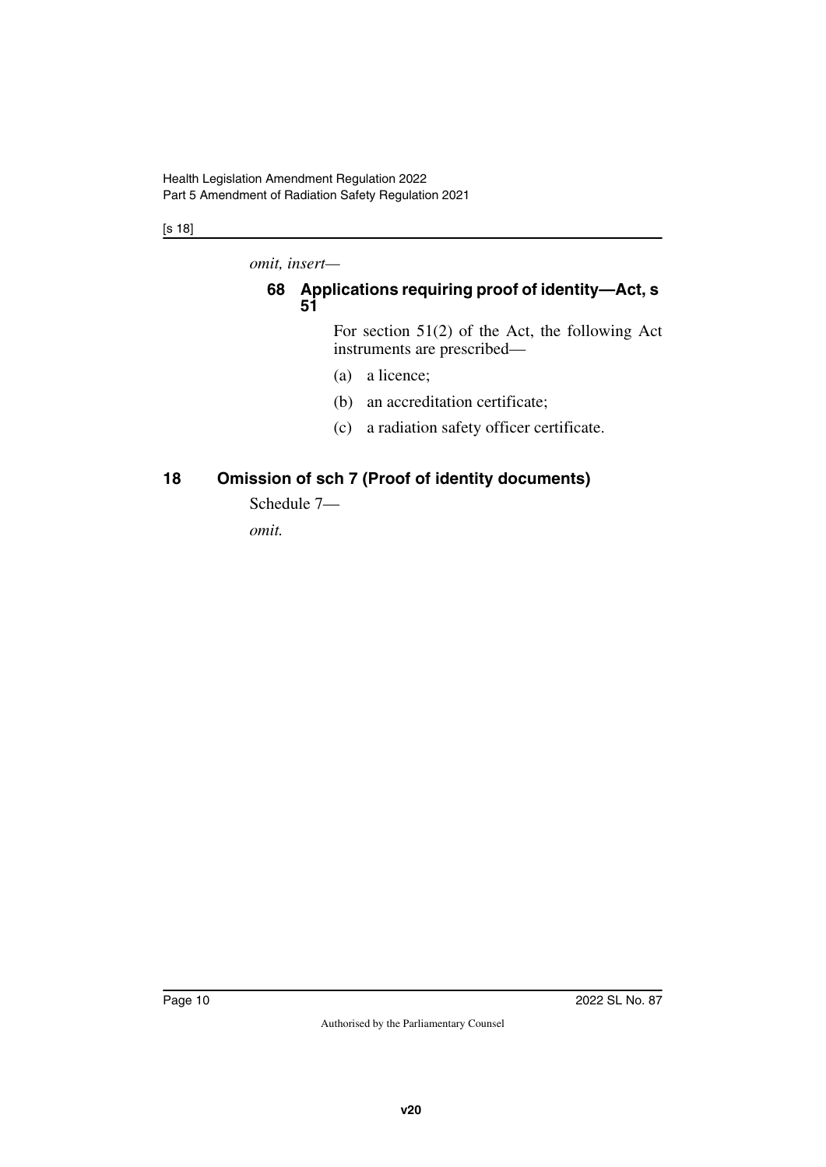[s 18]

*omit, insert—*

# <span id="page-9-1"></span><span id="page-9-0"></span>**68 Applications requiring proof of identity—Act, s 51**

For section 51(2) of the Act, the following Act instruments are prescribed—

- (a) a licence;
- (b) an accreditation certificate;
- (c) a radiation safety officer certificate.

# <span id="page-9-2"></span>**18 Omission of sch 7 (Proof of identity documents)**

<span id="page-9-3"></span>Schedule 7—

*omit.*